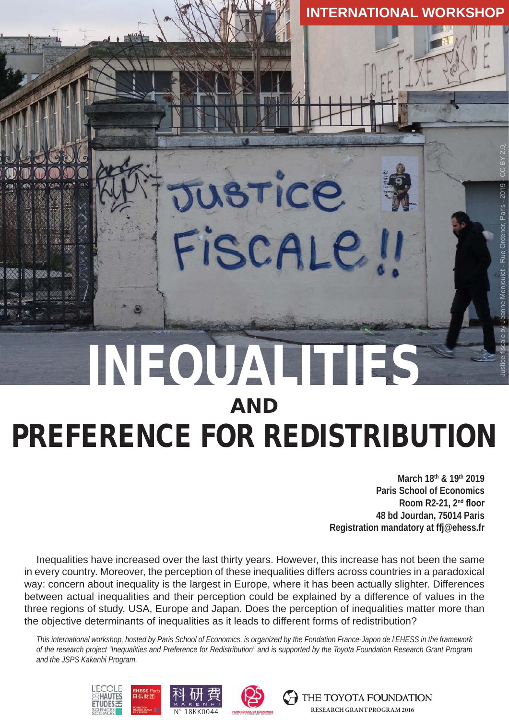# INEQUALITIES AND PREFERENCE FOR REDISTRIBUTION Justice fiscale by Jeanne Menjoulet - Rue Ordener, Paris - 2019 - CC BY 2.0

JUSTICE

FISCALE

**March 18th & 19th 2019 Paris School of Economics Room R2-21, 2nd floor 48 bd Jourdan, 75014 Paris Registration mandatory at ffj@ehess.fr**

**INTERNATIONAL WORKSHOP**

Menjoulet - Rue Ordener, Paris - 2019

Inequalities have increased over the last thirty years. However, this increase has not been the same in every country. Moreover, the perception of these inequalities differs across countries in a paradoxical way: concern about inequality is the largest in Europe, where it has been actually slighter. Differences between actual inequalities and their perception could be explained by a difference of values in the three regions of study, USA, Europe and Japan. Does the perception of inequalities matter more than the objective determinants of inequalities as it leads to different forms of redistribution?

*This international workshop, hosted by Paris School of Economics, is organized by the Fondation France-Japon de l'EHESS in the framework of the research project "Inequalities and Preference for Redistribution" and is supported by the Toyota Foundation Research Grant Program and the JSPS Kakenhi Program.*



THE TOYOTA FOUNDATION **N° 18KK0044 RESEARCH GRANT PROGRAM 2016**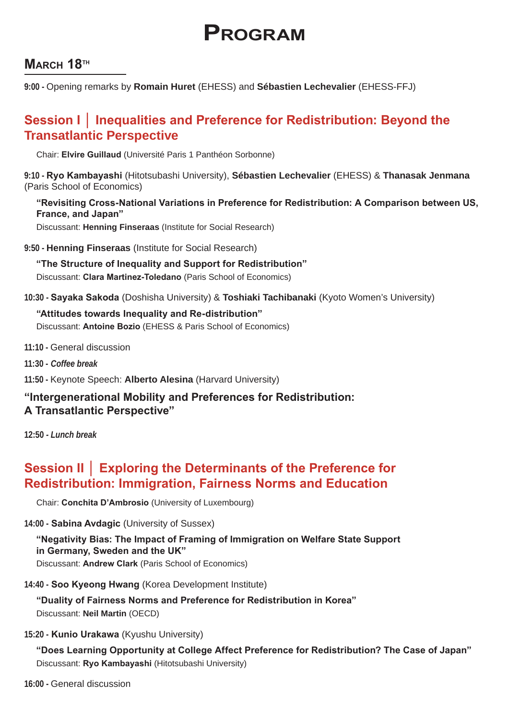# **Program**

# **MARCH 18TH**

**9:00 -** Opening remarks by **Romain Huret** (EHESS) and **Sébastien Lechevalier** (EHESS-FFJ)

# **Session I │ Inequalities and Preference for Redistribution: Beyond the Transatlantic Perspective**

Chair: **Elvire Guillaud** (Université Paris 1 Panthéon Sorbonne)

**9:10 - Ryo Kambayashi** (Hitotsubashi University), **Sébastien Lechevalier** (EHESS) & **Thanasak Jenmana** (Paris School of Economics)

**"Revisiting Cross-National Variations in Preference for Redistribution: A Comparison between US, France, and Japan"**

Discussant: **Henning Finseraas** (Institute for Social Research)

**9:50 - Henning Finseraas** (Institute for Social Research)

**"The Structure of Inequality and Support for Redistribution"** Discussant: **Clara Martinez-Toledano** (Paris School of Economics)

**10:30 - Sayaka Sakoda** (Doshisha University) & **Toshiaki Tachibanaki** (Kyoto Women's University)

#### **"Attitudes towards Inequality and Re-distribution"** Discussant: **Antoine Bozio** (EHESS & Paris School of Economics)

- **11:10** General discussion
- **11:30 -** *Coffee break*

**11:50 -** Keynote Speech: **Alberto Alesina** (Harvard University)

#### **"Intergenerational Mobility and Preferences for Redistribution: A Transatlantic Perspective"**

**12:50** *- Lunch break*

# **Session II │ Exploring the Determinants of the Preference for Redistribution: Immigration, Fairness Norms and Education**

Chair: **Conchita D'Ambrosio** (University of Luxembourg)

**14:00 - Sabina Avdagic** (University of Sussex)

# **"Negativity Bias: The Impact of Framing of Immigration on Welfare State Support in Germany, Sweden and the UK"**

Discussant: **Andrew Clark** (Paris School of Economics)

**14:40 - Soo Kyeong Hwang** (Korea Development Institute)

**"Duality of Fairness Norms and Preference for Redistribution in Korea"** Discussant: **Neil Martin** (OECD)

#### **15:20 - Kunio Urakawa** (Kyushu University)

**"Does Learning Opportunity at College Affect Preference for Redistribution? The Case of Japan"** Discussant: **Ryo Kambayashi** (Hitotsubashi University)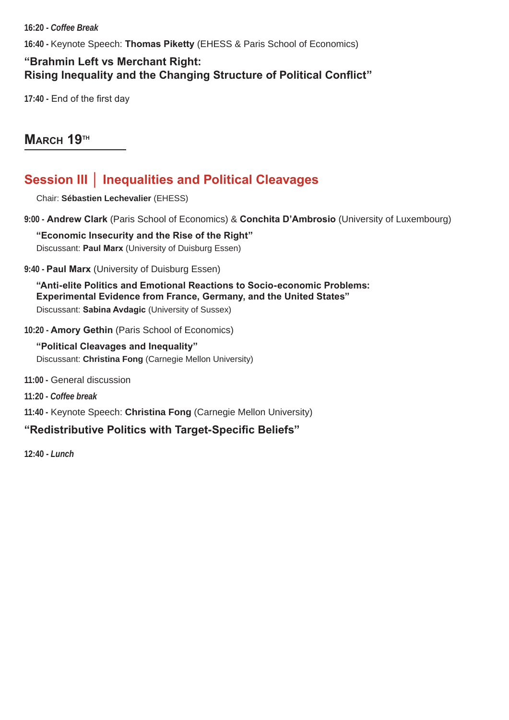**16:20 -** *Coffee Break*

**16:40 -** Keynote Speech: **Thomas Piketty** (EHESS & Paris School of Economics)

# **"Brahmin Left vs Merchant Right: Rising Inequality and the Changing Structure of Political Conflict"**

**17:40 -** End of the first day

# **MARCH 19TH**

# **Session III │ Inequalities and Political Cleavages**

Chair: **Sébastien Lechevalier** (EHESS)

**9:00 - Andrew Clark** (Paris School of Economics) & **Conchita D'Ambrosio** (University of Luxembourg)

**"Economic Insecurity and the Rise of the Right"** Discussant: **Paul Marx** (University of Duisburg Essen)

#### **9:40 - Paul Marx** (University of Duisburg Essen)

**"Anti-elite Politics and Emotional Reactions to Socio-economic Problems: Experimental Evidence from France, Germany, and the United States"** Discussant: **Sabina Avdagic** (University of Sussex)

#### **10:20 - Amory Gethin** (Paris School of Economics)

**"Political Cleavages and Inequality"**  Discussant: **Christina Fong** (Carnegie Mellon University)

- **11:00 -** General discussion
- **11:20** *Coffee break*
- **11:40 -** Keynote Speech: **Christina Fong** (Carnegie Mellon University)

#### **"Redistributive Politics with Target-Specific Beliefs"**

**12:40 -** *Lunch*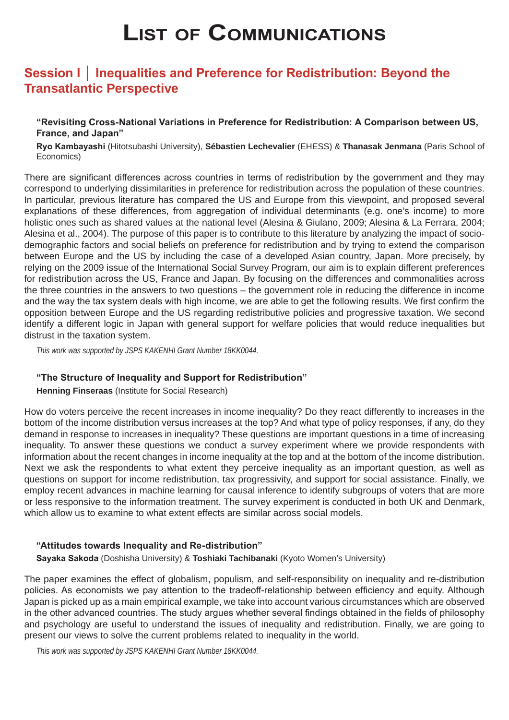# **List of Communications**

# **Session I │ Inequalities and Preference for Redistribution: Beyond the Transatlantic Perspective**

#### **"Revisiting Cross-National Variations in Preference for Redistribution: A Comparison between US, France, and Japan"**

**Ryo Kambayashi** (Hitotsubashi University), **Sébastien Lechevalier** (EHESS) & **Thanasak Jenmana** (Paris School of Economics)

There are significant differences across countries in terms of redistribution by the government and they may correspond to underlying dissimilarities in preference for redistribution across the population of these countries. In particular, previous literature has compared the US and Europe from this viewpoint, and proposed several explanations of these differences, from aggregation of individual determinants (e.g. one's income) to more holistic ones such as shared values at the national level (Alesina & Giulano, 2009; Alesina & La Ferrara, 2004; Alesina et al., 2004). The purpose of this paper is to contribute to this literature by analyzing the impact of sociodemographic factors and social beliefs on preference for redistribution and by trying to extend the comparison between Europe and the US by including the case of a developed Asian country, Japan. More precisely, by relying on the 2009 issue of the International Social Survey Program, our aim is to explain different preferences for redistribution across the US, France and Japan. By focusing on the differences and commonalities across the three countries in the answers to two questions – the government role in reducing the difference in income and the way the tax system deals with high income, we are able to get the following results. We first confirm the opposition between Europe and the US regarding redistributive policies and progressive taxation. We second identify a different logic in Japan with general support for welfare policies that would reduce inequalities but distrust in the taxation system.

*This work was supported by JSPS KAKENHI Grant Number 18KK0044.*

#### **"The Structure of Inequality and Support for Redistribution"**

#### **Henning Finseraas** (Institute for Social Research)

How do voters perceive the recent increases in income inequality? Do they react differently to increases in the bottom of the income distribution versus increases at the top? And what type of policy responses, if any, do they demand in response to increases in inequality? These questions are important questions in a time of increasing inequality. To answer these questions we conduct a survey experiment where we provide respondents with information about the recent changes in income inequality at the top and at the bottom of the income distribution. Next we ask the respondents to what extent they perceive inequality as an important question, as well as questions on support for income redistribution, tax progressivity, and support for social assistance. Finally, we employ recent advances in machine learning for causal inference to identify subgroups of voters that are more or less responsive to the information treatment. The survey experiment is conducted in both UK and Denmark, which allow us to examine to what extent effects are similar across social models.

#### **"Attitudes towards Inequality and Re-distribution"**

**Sayaka Sakoda** (Doshisha University) & **Toshiaki Tachibanaki** (Kyoto Women's University)

The paper examines the effect of globalism, populism, and self-responsibility on inequality and re-distribution policies. As economists we pay attention to the tradeoff-relationship between efficiency and equity. Although Japan is picked up as a main empirical example, we take into account various circumstances which are observed in the other advanced countries. The study argues whether several findings obtained in the fields of philosophy and psychology are useful to understand the issues of inequality and redistribution. Finally, we are going to present our views to solve the current problems related to inequality in the world.

*This work was supported by JSPS KAKENHI Grant Number 18KK0044.*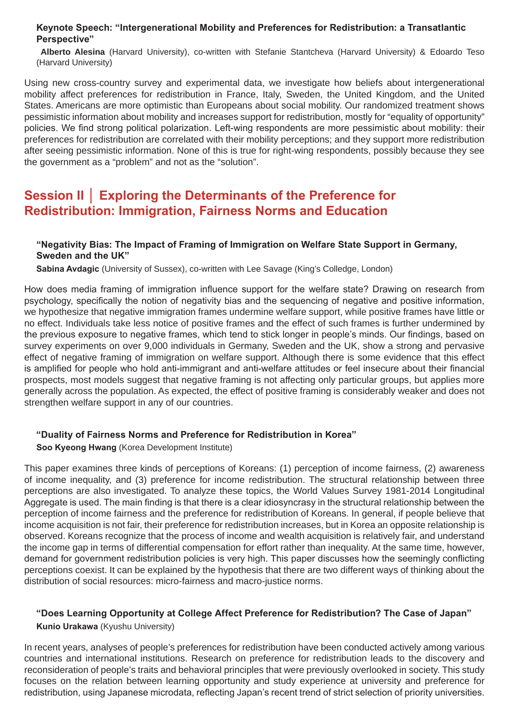#### **Keynote Speech: "Intergenerational Mobility and Preferences for Redistribution: a Transatlantic Perspective"**

**Alberto Alesina** (Harvard University), co-written with Stefanie Stantcheva (Harvard University) & Edoardo Teso (Harvard University)

Using new cross-country survey and experimental data, we investigate how beliefs about intergenerational mobility affect preferences for redistribution in France, Italy, Sweden, the United Kingdom, and the United States. Americans are more optimistic than Europeans about social mobility. Our randomized treatment shows pessimistic information about mobility and increases support for redistribution, mostly for "equality of opportunity" policies. We find strong political polarization. Left-wing respondents are more pessimistic about mobility: their preferences for redistribution are correlated with their mobility perceptions; and they support more redistribution after seeing pessimistic information. None of this is true for right-wing respondents, possibly because they see the government as a "problem" and not as the "solution".

# **Session II │ Exploring the Determinants of the Preference for Redistribution: Immigration, Fairness Norms and Education**

#### **"Negativity Bias: The Impact of Framing of Immigration on Welfare State Support in Germany, Sweden and the UK"**

**Sabina Avdagic** (University of Sussex), co-written with Lee Savage (King's Colledge, London)

How does media framing of immigration influence support for the welfare state? Drawing on research from psychology, specifically the notion of negativity bias and the sequencing of negative and positive information, we hypothesize that negative immigration frames undermine welfare support, while positive frames have little or no effect. Individuals take less notice of positive frames and the effect of such frames is further undermined by the previous exposure to negative frames, which tend to stick longer in people's minds. Our findings, based on survey experiments on over 9,000 individuals in Germany, Sweden and the UK, show a strong and pervasive effect of negative framing of immigration on welfare support. Although there is some evidence that this effect is amplified for people who hold anti-immigrant and anti-welfare attitudes or feel insecure about their financial prospects, most models suggest that negative framing is not affecting only particular groups, but applies more generally across the population. As expected, the effect of positive framing is considerably weaker and does not strengthen welfare support in any of our countries.

#### **"Duality of Fairness Norms and Preference for Redistribution in Korea"**

**Soo Kyeong Hwang** (Korea Development Institute)

This paper examines three kinds of perceptions of Koreans: (1) perception of income fairness, (2) awareness of income inequality, and (3) preference for income redistribution. The structural relationship between three perceptions are also investigated. To analyze these topics, the World Values Survey 1981-2014 Longitudinal Aggregate is used. The main finding is that there is a clear idiosyncrasy in the structural relationship between the perception of income fairness and the preference for redistribution of Koreans. In general, if people believe that income acquisition is not fair, their preference for redistribution increases, but in Korea an opposite relationship is observed. Koreans recognize that the process of income and wealth acquisition is relatively fair, and understand the income gap in terms of differential compensation for effort rather than inequality. At the same time, however, demand for government redistribution policies is very high. This paper discusses how the seemingly conflicting perceptions coexist. It can be explained by the hypothesis that there are two different ways of thinking about the distribution of social resources: micro-fairness and macro-justice norms.

#### **"Does Learning Opportunity at College Affect Preference for Redistribution? The Case of Japan"**

**Kunio Urakawa** (Kyushu University)

In recent years, analyses of people's preferences for redistribution have been conducted actively among various countries and international institutions. Research on preference for redistribution leads to the discovery and reconsideration of people's traits and behavioral principles that were previously overlooked in society. This study focuses on the relation between learning opportunity and study experience at university and preference for redistribution, using Japanese microdata, reflecting Japan's recent trend of strict selection of priority universities.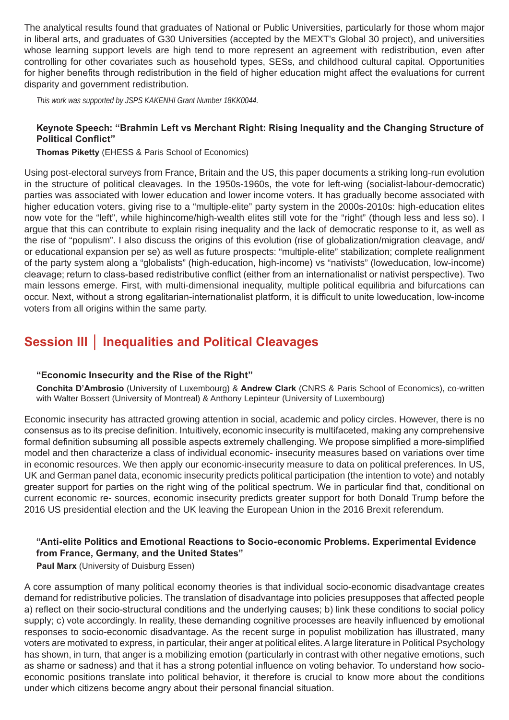The analytical results found that graduates of National or Public Universities, particularly for those whom major in liberal arts, and graduates of G30 Universities (accepted by the MEXT's Global 30 project), and universities whose learning support levels are high tend to more represent an agreement with redistribution, even after controlling for other covariates such as household types, SESs, and childhood cultural capital. Opportunities for higher benefits through redistribution in the field of higher education might affect the evaluations for current disparity and government redistribution.

*This work was supported by JSPS KAKENHI Grant Number 18KK0044.*

#### **Keynote Speech: "Brahmin Left vs Merchant Right: Rising Inequality and the Changing Structure of Political Conflict"**

**Thomas Piketty** (EHESS & Paris School of Economics)

Using post-electoral surveys from France, Britain and the US, this paper documents a striking long-run evolution in the structure of political cleavages. In the 1950s-1960s, the vote for left-wing (socialist-labour-democratic) parties was associated with lower education and lower income voters. It has gradually become associated with higher education voters, giving rise to a "multiple-elite" party system in the 2000s-2010s: high-education elites now vote for the "left", while highincome/high-wealth elites still vote for the "right" (though less and less so). I argue that this can contribute to explain rising inequality and the lack of democratic response to it, as well as the rise of "populism". I also discuss the origins of this evolution (rise of globalization/migration cleavage, and/ or educational expansion per se) as well as future prospects: "multiple-elite" stabilization; complete realignment of the party system along a "globalists" (high-education, high-income) vs "nativists" (loweducation, low-income) cleavage; return to class-based redistributive conflict (either from an internationalist or nativist perspective). Two main lessons emerge. First, with multi-dimensional inequality, multiple political equilibria and bifurcations can occur. Next, without a strong egalitarian-internationalist platform, it is difficult to unite loweducation, low-income voters from all origins within the same party.

# **Session III │ Inequalities and Political Cleavages**

#### **"Economic Insecurity and the Rise of the Right"**

**Conchita D'Ambrosio** (University of Luxembourg) & **Andrew Clark** (CNRS & Paris School of Economics), co-written with Walter Bossert (University of Montreal) & Anthony Lepinteur (University of Luxembourg)

Economic insecurity has attracted growing attention in social, academic and policy circles. However, there is no consensus as to its precise definition. Intuitively, economic insecurity is multifaceted, making any comprehensive formal definition subsuming all possible aspects extremely challenging. We propose simplified a more-simplified model and then characterize a class of individual economic- insecurity measures based on variations over time in economic resources. We then apply our economic-insecurity measure to data on political preferences. In US, UK and German panel data, economic insecurity predicts political participation (the intention to vote) and notably greater support for parties on the right wing of the political spectrum. We in particular find that, conditional on current economic re- sources, economic insecurity predicts greater support for both Donald Trump before the 2016 US presidential election and the UK leaving the European Union in the 2016 Brexit referendum.

#### **"Anti-elite Politics and Emotional Reactions to Socio-economic Problems. Experimental Evidence from France, Germany, and the United States"**

**Paul Marx** (University of Duisburg Essen)

A core assumption of many political economy theories is that individual socio-economic disadvantage creates demand for redistributive policies. The translation of disadvantage into policies presupposes that affected people a) reflect on their socio-structural conditions and the underlying causes; b) link these conditions to social policy supply; c) vote accordingly. In reality, these demanding cognitive processes are heavily influenced by emotional responses to socio-economic disadvantage. As the recent surge in populist mobilization has illustrated, many voters are motivated to express, in particular, their anger at political elites. A large literature in Political Psychology has shown, in turn, that anger is a mobilizing emotion (particularly in contrast with other negative emotions, such as shame or sadness) and that it has a strong potential influence on voting behavior. To understand how socioeconomic positions translate into political behavior, it therefore is crucial to know more about the conditions under which citizens become angry about their personal financial situation.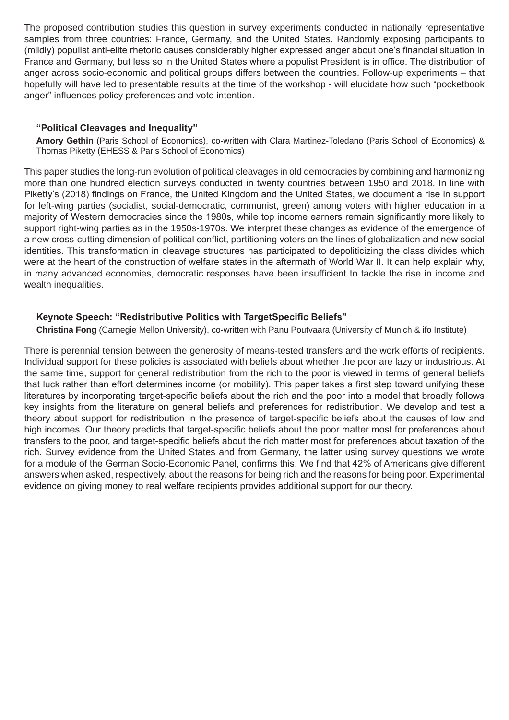The proposed contribution studies this question in survey experiments conducted in nationally representative samples from three countries: France, Germany, and the United States. Randomly exposing participants to (mildly) populist anti-elite rhetoric causes considerably higher expressed anger about one's financial situation in France and Germany, but less so in the United States where a populist President is in office. The distribution of anger across socio-economic and political groups differs between the countries. Follow-up experiments – that hopefully will have led to presentable results at the time of the workshop - will elucidate how such "pocketbook anger" influences policy preferences and vote intention.

#### **"Political Cleavages and Inequality"**

**Amory Gethin** (Paris School of Economics), co-written with Clara Martinez-Toledano (Paris School of Economics) & Thomas Piketty (EHESS & Paris School of Economics)

This paper studies the long-run evolution of political cleavages in old democracies by combining and harmonizing more than one hundred election surveys conducted in twenty countries between 1950 and 2018. In line with Piketty's (2018) findings on France, the United Kingdom and the United States, we document a rise in support for left-wing parties (socialist, social-democratic, communist, green) among voters with higher education in a majority of Western democracies since the 1980s, while top income earners remain significantly more likely to support right-wing parties as in the 1950s-1970s. We interpret these changes as evidence of the emergence of a new cross-cutting dimension of political conflict, partitioning voters on the lines of globalization and new social identities. This transformation in cleavage structures has participated to depoliticizing the class divides which were at the heart of the construction of welfare states in the aftermath of World War II. It can help explain why, in many advanced economies, democratic responses have been insufficient to tackle the rise in income and wealth inequalities.

#### **Keynote Speech: "Redistributive Politics with TargetSpecific Beliefs"**

**Christina Fong** (Carnegie Mellon University), co-written with Panu Poutvaara (University of Munich & ifo Institute)

There is perennial tension between the generosity of means-tested transfers and the work efforts of recipients. Individual support for these policies is associated with beliefs about whether the poor are lazy or industrious. At the same time, support for general redistribution from the rich to the poor is viewed in terms of general beliefs that luck rather than effort determines income (or mobility). This paper takes a first step toward unifying these literatures by incorporating target-specific beliefs about the rich and the poor into a model that broadly follows key insights from the literature on general beliefs and preferences for redistribution. We develop and test a theory about support for redistribution in the presence of target-specific beliefs about the causes of low and high incomes. Our theory predicts that target-specific beliefs about the poor matter most for preferences about transfers to the poor, and target-specific beliefs about the rich matter most for preferences about taxation of the rich. Survey evidence from the United States and from Germany, the latter using survey questions we wrote for a module of the German Socio-Economic Panel, confirms this. We find that 42% of Americans give different answers when asked, respectively, about the reasons for being rich and the reasons for being poor. Experimental evidence on giving money to real welfare recipients provides additional support for our theory.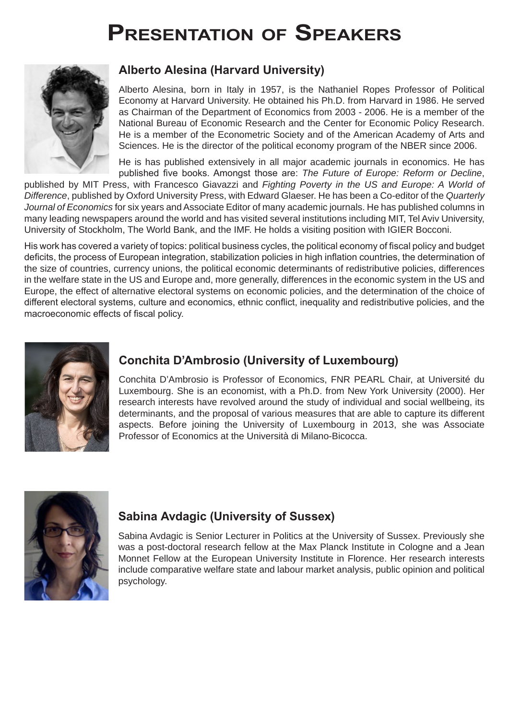# **Presentation of Speakers**



# **Alberto Alesina (Harvard University)**

Alberto Alesina, born in Italy in 1957, is the Nathaniel Ropes Professor of Political Economy at Harvard University. He obtained his Ph.D. from Harvard in 1986. He served as Chairman of the Department of Economics from 2003 - 2006. He is a member of the National Bureau of Economic Research and the Center for Economic Policy Research. He is a member of the Econometric Society and of the American Academy of Arts and Sciences. He is the director of the political economy program of the NBER since 2006.

He is has published extensively in all major academic journals in economics. He has published five books. Amongst those are: *The Future of Europe: Reform or Decline*,

published by MIT Press, with Francesco Giavazzi and *Fighting Poverty in the US and Europe: A World of Difference*, published by Oxford University Press, with Edward Glaeser. He has been a Co-editor of the *Quarterly Journal of Economics* for six years and Associate Editor of many academic journals. He has published columns in many leading newspapers around the world and has visited several institutions including MIT, Tel Aviv University, University of Stockholm, The World Bank, and the IMF. He holds a visiting position with IGIER Bocconi.

His work has covered a variety of topics: political business cycles, the political economy of fiscal policy and budget deficits, the process of European integration, stabilization policies in high inflation countries, the determination of the size of countries, currency unions, the political economic determinants of redistributive policies, differences in the welfare state in the US and Europe and, more generally, differences in the economic system in the US and Europe, the effect of alternative electoral systems on economic policies, and the determination of the choice of different electoral systems, culture and economics, ethnic conflict, inequality and redistributive policies, and the macroeconomic effects of fiscal policy.



# **Conchita D'Ambrosio (University of Luxembourg)**

Conchita D'Ambrosio is Professor of Economics, FNR PEARL Chair, at Université du Luxembourg. She is an economist, with a Ph.D. from New York University (2000). Her research interests have revolved around the study of individual and social wellbeing, its determinants, and the proposal of various measures that are able to capture its different aspects. Before joining the University of Luxembourg in 2013, she was Associate Professor of Economics at the Università di Milano-Bicocca.



# **Sabina Avdagic (University of Sussex)**

Sabina Avdagic is Senior Lecturer in Politics at the University of Sussex. Previously she was a post-doctoral research fellow at the Max Planck Institute in Cologne and a Jean Monnet Fellow at the European University Institute in Florence. Her research interests include comparative welfare state and labour market analysis, public opinion and political psychology.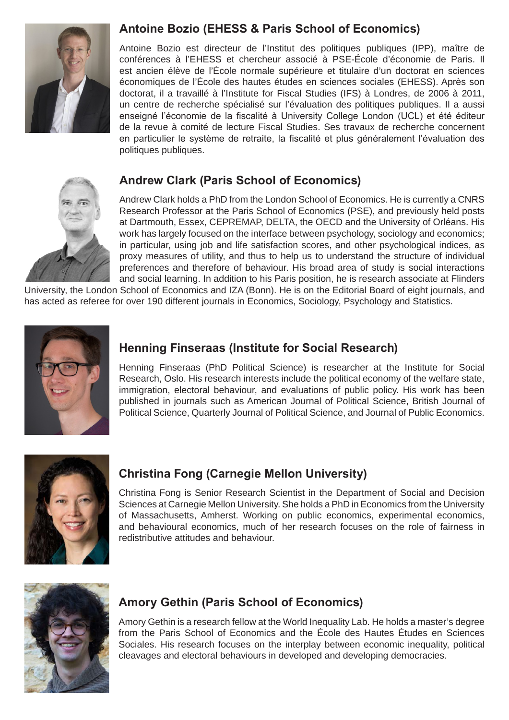

# **Antoine Bozio (EHESS & Paris School of Economics)**

Antoine Bozio est directeur de l'Institut des politiques publiques (IPP), maître de conférences à l'EHESS et chercheur associé à PSE-École d'économie de Paris. Il est ancien élève de l'École normale supérieure et titulaire d'un doctorat en sciences économiques de l'École des hautes études en sciences sociales (EHESS). Après son doctorat, il a travaillé à l'Institute for Fiscal Studies (IFS) à Londres, de 2006 à 2011, un centre de recherche spécialisé sur l'évaluation des politiques publiques. Il a aussi enseigné l'économie de la fiscalité à University College London (UCL) et été éditeur de la revue à comité de lecture Fiscal Studies. Ses travaux de recherche concernent en particulier le système de retraite, la fiscalité et plus généralement l'évaluation des politiques publiques.



# **Andrew Clark (Paris School of Economics)**

Andrew Clark holds a PhD from the London School of Economics. He is currently a CNRS Research Professor at the Paris School of Economics (PSE), and previously held posts at Dartmouth, Essex, CEPREMAP, DELTA, the OECD and the University of Orléans. His work has largely focused on the interface between psychology, sociology and economics; in particular, using job and life satisfaction scores, and other psychological indices, as proxy measures of utility, and thus to help us to understand the structure of individual preferences and therefore of behaviour. His broad area of study is social interactions and social learning. In addition to his Paris position, he is research associate at Flinders

University, the London School of Economics and IZA (Bonn). He is on the Editorial Board of eight journals, and has acted as referee for over 190 different journals in Economics, Sociology, Psychology and Statistics.



# **Henning Finseraas (Institute for Social Research)**

Henning Finseraas (PhD Political Science) is researcher at the Institute for Social Research, Oslo. His research interests include the political economy of the welfare state, immigration, electoral behaviour, and evaluations of public policy. His work has been published in journals such as American Journal of Political Science, British Journal of Political Science, Quarterly Journal of Political Science, and Journal of Public Economics.



# **Christina Fong (Carnegie Mellon University)**

Christina Fong is Senior Research Scientist in the Department of Social and Decision Sciences at Carnegie Mellon University. She holds a PhD in Economics from the University of Massachusetts, Amherst. Working on public economics, experimental economics, and behavioural economics, much of her research focuses on the role of fairness in redistributive attitudes and behaviour.



# **Amory Gethin (Paris School of Economics)**

Amory Gethin is a research fellow at the World Inequality Lab. He holds a master's degree from the Paris School of Economics and the École des Hautes Études en Sciences Sociales. His research focuses on the interplay between economic inequality, political cleavages and electoral behaviours in developed and developing democracies.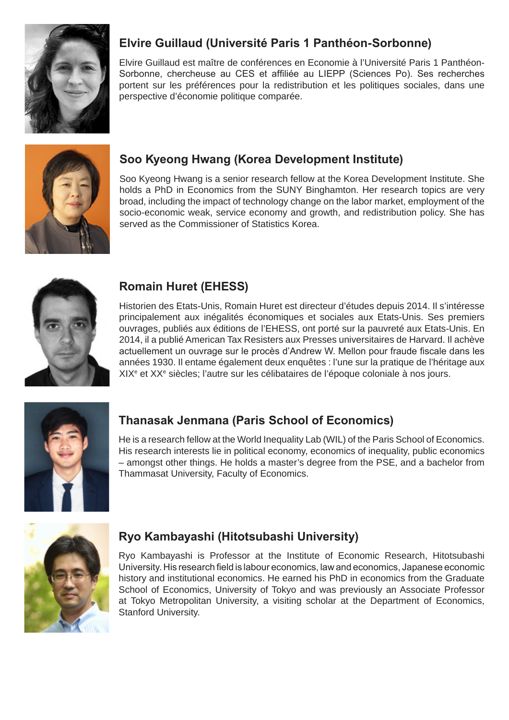

# **Elvire Guillaud (Université Paris 1 Panthéon-Sorbonne)**

Elvire Guillaud est maître de conférences en Economie à l'Université Paris 1 Panthéon-Sorbonne, chercheuse au CES et affiliée au LIEPP (Sciences Po). Ses recherches portent sur les préférences pour la redistribution et les politiques sociales, dans une perspective d'économie politique comparée.



# **Soo Kyeong Hwang (Korea Development Institute)**

Soo Kyeong Hwang is a senior research fellow at the Korea Development Institute. She holds a PhD in Economics from the SUNY Binghamton. Her research topics are very broad, including the impact of technology change on the labor market, employment of the socio-economic weak, service economy and growth, and redistribution policy. She has served as the Commissioner of Statistics Korea.



# **Romain Huret (EHESS)**

Historien des Etats-Unis, Romain Huret est directeur d'études depuis 2014. Il s'intéresse principalement aux inégalités économiques et sociales aux Etats-Unis. Ses premiers ouvrages, publiés aux éditions de l'EHESS, ont porté sur la pauvreté aux Etats-Unis. En 2014, il a publié American Tax Resisters aux Presses universitaires de Harvard. Il achève actuellement un ouvrage sur le procès d'Andrew W. Mellon pour fraude fiscale dans les années 1930. Il entame également deux enquêtes : l'une sur la pratique de l'héritage aux XIX<sup>e</sup> et XX<sup>e</sup> siècles; l'autre sur les célibataires de l'époque coloniale à nos jours.



# **Thanasak Jenmana (Paris School of Economics)**

He is a research fellow at the World Inequality Lab (WIL) of the Paris School of Economics. His research interests lie in political economy, economics of inequality, public economics – amongst other things. He holds a master's degree from the PSE, and a bachelor from Thammasat University, Faculty of Economics.



# **Ryo Kambayashi (Hitotsubashi University)**

Ryo Kambayashi is Professor at the Institute of Economic Research, Hitotsubashi University. His research field is labour economics, law and economics, Japanese economic history and institutional economics. He earned his PhD in economics from the Graduate School of Economics, University of Tokyo and was previously an Associate Professor at Tokyo Metropolitan University, a visiting scholar at the Department of Economics, Stanford University.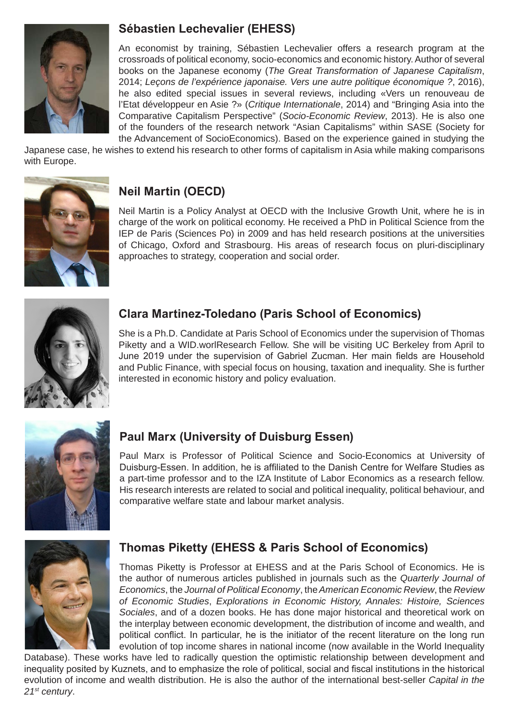

# **Sébastien Lechevalier (EHESS)**

An economist by training, Sébastien Lechevalier offers a research program at the crossroads of political economy, socio-economics and economic history. Author of several books on the Japanese economy (*The Great Transformation of Japanese Capitalism*, 2014; *Leçons de l'expérience japonaise. Vers une autre politique économique ?*, 2016), he also edited special issues in several reviews, including «Vers un renouveau de l'Etat développeur en Asie ?» (*Critique Internationale*, 2014) and "Bringing Asia into the Comparative Capitalism Perspective" (*Socio-Economic Review*, 2013). He is also one of the founders of the research network "Asian Capitalisms" within SASE (Society for the Advancement of SocioEconomics). Based on the experience gained in studying the

Japanese case, he wishes to extend his research to other forms of capitalism in Asia while making comparisons with Europe.



# **Neil Martin (OECD)**

Neil Martin is a Policy Analyst at OECD with the Inclusive Growth Unit, where he is in charge of the work on political economy. He received a PhD in Political Science from the IEP de Paris (Sciences Po) in 2009 and has held research positions at the universities of Chicago, Oxford and Strasbourg. His areas of research focus on pluri-disciplinary approaches to strategy, cooperation and social order.



# **Clara Martinez-Toledano (Paris School of Economics)**

She is a Ph.D. Candidate at Paris School of Economics under the supervision of Thomas Piketty and a WID.worlResearch Fellow. She will be visiting UC Berkeley from April to June 2019 under the supervision of Gabriel Zucman. Her main fields are Household and Public Finance, with special focus on housing, taxation and inequality. She is further interested in economic history and policy evaluation.



# **Paul Marx (University of Duisburg Essen)**

Paul Marx is Professor of Political Science and Socio-Economics at University of Duisburg-Essen. In addition, he is affiliated to the Danish Centre for Welfare Studies as a part-time professor and to the IZA Institute of Labor Economics as a research fellow. His research interests are related to social and political inequality, political behaviour, and comparative welfare state and labour market analysis.



# **Thomas Piketty (EHESS & Paris School of Economics)**

Thomas Piketty is Professor at EHESS and at the Paris School of Economics. He is the author of numerous articles published in journals such as the *Quarterly Journal of Economics*, the *Journal of Political Economy*, the *American Economic Review*, the *Review of Economic Studies*, *Explorations in Economic History, Annales: Histoire, Sciences Sociales*, and of a dozen books. He has done major historical and theoretical work on the interplay between economic development, the distribution of income and wealth, and political conflict. In particular, he is the initiator of the recent literature on the long run evolution of top income shares in national income (now available in the World Inequality

Database). These works have led to radically question the optimistic relationship between development and inequality posited by Kuznets, and to emphasize the role of political, social and fiscal institutions in the historical evolution of income and wealth distribution. He is also the author of the international best-seller *Capital in the 21st century*.